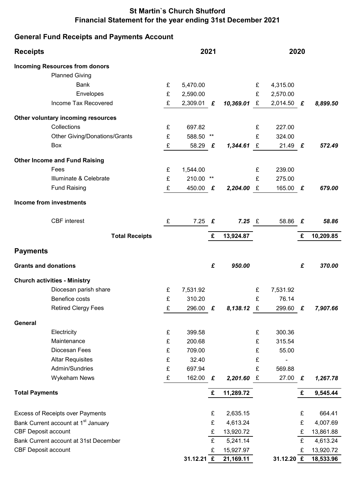# **St Martin`s Church Shutford Financial Statement for the year ending 31st December 2021**

# **General Fund Receipts and Payments Account**

| <b>Receipts</b>                                 |                                         | 2021 |                         |       |           |   | 2020             |             |           |  |
|-------------------------------------------------|-----------------------------------------|------|-------------------------|-------|-----------|---|------------------|-------------|-----------|--|
|                                                 | <b>Incoming Resources from donors</b>   |      |                         |       |           |   |                  |             |           |  |
|                                                 | <b>Planned Giving</b>                   |      |                         |       |           |   |                  |             |           |  |
|                                                 | <b>Bank</b>                             | £    | 5,470.00                |       |           | £ | 4,315.00         |             |           |  |
|                                                 | Envelopes                               | £    | 2,590.00                |       |           | £ | 2,570.00         |             |           |  |
|                                                 | Income Tax Recovered                    | £    | 2,309.01                | £     | 10,369.01 | E | 2,014.50 £       |             | 8,899.50  |  |
|                                                 | Other voluntary incoming resources      |      |                         |       |           |   |                  |             |           |  |
|                                                 | Collections                             | £    | 697.82                  |       |           | £ | 227.00           |             |           |  |
|                                                 | <b>Other Giving/Donations/Grants</b>    | £    | 588.50                  | $***$ |           | £ | 324.00           |             |           |  |
|                                                 | Box                                     | £    | 58.29                   | £     | 1,344.61  | £ | 21.49 $\epsilon$ |             | 572.49    |  |
|                                                 | <b>Other Income and Fund Raising</b>    |      |                         |       |           |   |                  |             |           |  |
|                                                 | Fees                                    | £    | 1,544.00                |       |           | £ | 239.00           |             |           |  |
|                                                 | Illuminate & Celebrate                  | £    | 210.00 **               |       |           | £ | 275.00           |             |           |  |
|                                                 | <b>Fund Raising</b>                     | £    | 450.00                  | £     | 2,204.00  | E | 165.00           | £           | 679.00    |  |
|                                                 | <b>Income from investments</b>          |      |                         |       |           |   |                  |             |           |  |
|                                                 | <b>CBF</b> interest                     | £    | 7.25                    | £     | $7.25$ £  |   | 58.86            | £           | 58.86     |  |
|                                                 | <b>Total Receipts</b>                   |      |                         | £     | 13,924.87 |   |                  | £           | 10,209.85 |  |
| <b>Payments</b>                                 |                                         |      |                         |       |           |   |                  |             |           |  |
|                                                 |                                         |      |                         | £     | 950.00    |   |                  | £           | 370.00    |  |
| <b>Grants and donations</b>                     |                                         |      |                         |       |           |   |                  |             |           |  |
| <b>Church activities - Ministry</b>             |                                         |      |                         |       |           |   |                  |             |           |  |
|                                                 | Diocesan parish share                   | £    | 7,531.92                |       |           | £ | 7,531.92         |             |           |  |
|                                                 | Benefice costs                          | £    | 310.20                  |       |           | £ | 76.14            |             |           |  |
|                                                 | <b>Retired Clergy Fees</b>              | £    | 296.00                  | £     | 8,138.12  | £ | 299.60           | £           | 7,907.66  |  |
| <b>General</b>                                  |                                         |      |                         |       |           |   |                  |             |           |  |
|                                                 | Electricity                             | £    | 399.58                  |       |           | £ | 300.36           |             |           |  |
|                                                 | Maintenance                             | £    | 200.68                  |       |           | £ | 315.54           |             |           |  |
|                                                 | Diocesan Fees                           | £    | 709.00                  |       |           | £ | 55.00            |             |           |  |
|                                                 | <b>Altar Requisites</b>                 | £    | 32.40                   |       |           | £ |                  |             |           |  |
|                                                 | Admin/Sundries                          | £    | 697.94                  |       |           | £ | 569.88           |             |           |  |
|                                                 | <b>Wykeham News</b>                     | £    | 162.00                  | £     | 2,201.60  | £ | 27.00            | $\mathbf f$ | 1,267.78  |  |
| <b>Total Payments</b>                           |                                         |      |                         | £     | 11,289.72 |   |                  | £           | 9,545.44  |  |
|                                                 | <b>Excess of Receipts over Payments</b> |      |                         | £     | 2,635.15  |   |                  | £           | 664.41    |  |
| Bank Current account at 1 <sup>st</sup> January |                                         |      |                         | £     | 4,613.24  |   |                  | £           | 4,007.69  |  |
| <b>CBF Deposit account</b>                      |                                         |      |                         | £     | 13,920.72 |   |                  | £           | 13,861.88 |  |
| Bank Current account at 31st December           |                                         |      |                         | £     | 5,241.14  |   |                  | £           | 4,613.24  |  |
| <b>CBF Deposit account</b>                      |                                         |      |                         | £     | 15,927.97 |   |                  | £           | 13,920.72 |  |
|                                                 |                                         |      | 31.12.21 $\overline{E}$ |       | 21,169.11 |   | 31.12.20 £       |             | 18,533.96 |  |